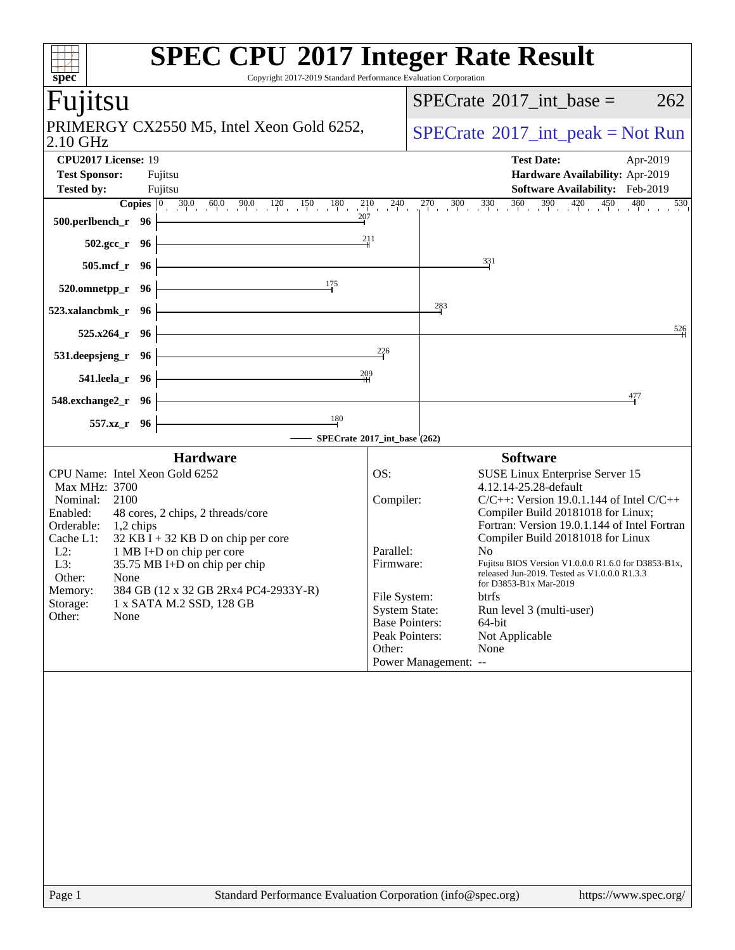| spec <sup>®</sup>                                                                                                                                                                                                                                                                                                                                                                                                    | <b>SPEC CPU®2017 Integer Rate Result</b><br>Copyright 2017-2019 Standard Performance Evaluation Corporation                                                                                                                                                                                                                                                                                                                                                                                                                                                                                                              |
|----------------------------------------------------------------------------------------------------------------------------------------------------------------------------------------------------------------------------------------------------------------------------------------------------------------------------------------------------------------------------------------------------------------------|--------------------------------------------------------------------------------------------------------------------------------------------------------------------------------------------------------------------------------------------------------------------------------------------------------------------------------------------------------------------------------------------------------------------------------------------------------------------------------------------------------------------------------------------------------------------------------------------------------------------------|
| Fujitsu                                                                                                                                                                                                                                                                                                                                                                                                              | $SPECrate^{\circledast}2017\_int\_base =$<br>262                                                                                                                                                                                                                                                                                                                                                                                                                                                                                                                                                                         |
| PRIMERGY CX2550 M5, Intel Xeon Gold 6252,<br>2.10 GHz                                                                                                                                                                                                                                                                                                                                                                | $SPECrate^{\circledcirc}2017\_int\_peak = Not Run$                                                                                                                                                                                                                                                                                                                                                                                                                                                                                                                                                                       |
| CPU2017 License: 19<br><b>Test Sponsor:</b><br>Fujitsu<br><b>Tested by:</b><br>Fujitsu                                                                                                                                                                                                                                                                                                                               | <b>Test Date:</b><br>Apr-2019<br>Hardware Availability: Apr-2019<br>Software Availability: Feb-2019<br><b>Copies</b> $\begin{bmatrix} 0 & 30.0 & 60.0 & 90.0 & 120 & 150 & 180 & 210 & 240 & 270 & 300 & 330 & 360 & 390 & 420 & 450 & 480 & 530 \end{bmatrix}$                                                                                                                                                                                                                                                                                                                                                          |
| 207<br>$500.$ perlbench_r 96                                                                                                                                                                                                                                                                                                                                                                                         | 211                                                                                                                                                                                                                                                                                                                                                                                                                                                                                                                                                                                                                      |
| $502.\text{gcc}_r$ 96<br>505.mcf_r 96                                                                                                                                                                                                                                                                                                                                                                                | 331                                                                                                                                                                                                                                                                                                                                                                                                                                                                                                                                                                                                                      |
| 175<br>520.omnetpp_r 96                                                                                                                                                                                                                                                                                                                                                                                              |                                                                                                                                                                                                                                                                                                                                                                                                                                                                                                                                                                                                                          |
| 523.xalancbmk_r 96                                                                                                                                                                                                                                                                                                                                                                                                   | 283                                                                                                                                                                                                                                                                                                                                                                                                                                                                                                                                                                                                                      |
| $525.x264_r$ 96                                                                                                                                                                                                                                                                                                                                                                                                      | 526                                                                                                                                                                                                                                                                                                                                                                                                                                                                                                                                                                                                                      |
| 531.deepsjeng_r 96                                                                                                                                                                                                                                                                                                                                                                                                   | 226                                                                                                                                                                                                                                                                                                                                                                                                                                                                                                                                                                                                                      |
| 541.leela_r 96<br>548.exchange2_r 96                                                                                                                                                                                                                                                                                                                                                                                 | $\frac{209}{11}$<br>477                                                                                                                                                                                                                                                                                                                                                                                                                                                                                                                                                                                                  |
| 180<br>557.xz_r 96                                                                                                                                                                                                                                                                                                                                                                                                   | SPECrate®2017_int_base (262)                                                                                                                                                                                                                                                                                                                                                                                                                                                                                                                                                                                             |
| <b>Hardware</b>                                                                                                                                                                                                                                                                                                                                                                                                      | <b>Software</b>                                                                                                                                                                                                                                                                                                                                                                                                                                                                                                                                                                                                          |
| CPU Name: Intel Xeon Gold 6252<br>Max MHz: 3700<br>Nominal:<br>2100<br>Enabled:<br>48 cores, 2 chips, 2 threads/core<br>Orderable:<br>$1,2$ chips<br>$32$ KB I + 32 KB D on chip per core<br>Cache L1:<br>$L2$ :<br>1 MB I+D on chip per core<br>L3:<br>35.75 MB I+D on chip per chip<br>Other:<br>None<br>Memory:<br>384 GB (12 x 32 GB 2Rx4 PC4-2933Y-R)<br>Storage:<br>1 x SATA M.2 SSD, 128 GB<br>Other:<br>None | OS:<br>SUSE Linux Enterprise Server 15<br>4.12.14-25.28-default<br>Compiler:<br>$C/C++$ : Version 19.0.1.144 of Intel $C/C++$<br>Compiler Build 20181018 for Linux;<br>Fortran: Version 19.0.1.144 of Intel Fortran<br>Compiler Build 20181018 for Linux<br>Parallel:<br>No.<br>Firmware:<br>Fujitsu BIOS Version V1.0.0.0 R1.6.0 for D3853-B1x,<br>released Jun-2019. Tested as V1.0.0.0 R1.3.3<br>for D3853-B1x Mar-2019<br>File System:<br>btrfs<br><b>System State:</b><br>Run level 3 (multi-user)<br><b>Base Pointers:</b><br>64-bit<br>Peak Pointers:<br>Not Applicable<br>None<br>Other:<br>Power Management: -- |
| Page 1                                                                                                                                                                                                                                                                                                                                                                                                               | Standard Performance Evaluation Corporation (info@spec.org)<br>https://www.spec.org/                                                                                                                                                                                                                                                                                                                                                                                                                                                                                                                                     |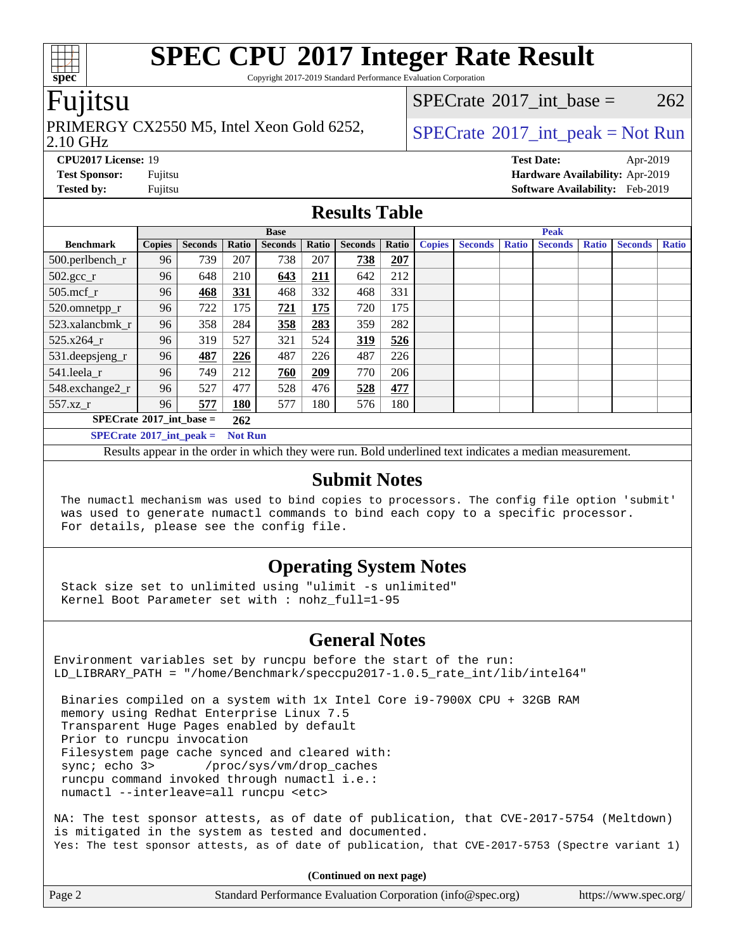Copyright 2017-2019 Standard Performance Evaluation Corporation

### Fujitsu

#### 2.10 GHz PRIMERGY CX2550 M5, Intel Xeon Gold 6252,  $\vert$  [SPECrate](http://www.spec.org/auto/cpu2017/Docs/result-fields.html#SPECrate2017intpeak)®[2017\\_int\\_peak = N](http://www.spec.org/auto/cpu2017/Docs/result-fields.html#SPECrate2017intpeak)ot Run

[SPECrate](http://www.spec.org/auto/cpu2017/Docs/result-fields.html#SPECrate2017intbase)<sup>®</sup>2017 int base =  $262$ 

**[CPU2017 License:](http://www.spec.org/auto/cpu2017/Docs/result-fields.html#CPU2017License)** 19 **[Test Date:](http://www.spec.org/auto/cpu2017/Docs/result-fields.html#TestDate)** Apr-2019 **[Test Sponsor:](http://www.spec.org/auto/cpu2017/Docs/result-fields.html#TestSponsor)** Fujitsu **[Hardware Availability:](http://www.spec.org/auto/cpu2017/Docs/result-fields.html#HardwareAvailability)** Apr-2019 **[Tested by:](http://www.spec.org/auto/cpu2017/Docs/result-fields.html#Testedby)** Fujitsu **[Software Availability:](http://www.spec.org/auto/cpu2017/Docs/result-fields.html#SoftwareAvailability)** Feb-2019

### **[Results Table](http://www.spec.org/auto/cpu2017/Docs/result-fields.html#ResultsTable)**

|                                          | <b>Base</b>    |                |       |                |       |                | <b>Peak</b> |               |                |              |                |              |                |              |
|------------------------------------------|----------------|----------------|-------|----------------|-------|----------------|-------------|---------------|----------------|--------------|----------------|--------------|----------------|--------------|
| <b>Benchmark</b>                         | <b>Copies</b>  | <b>Seconds</b> | Ratio | <b>Seconds</b> | Ratio | <b>Seconds</b> | Ratio       | <b>Copies</b> | <b>Seconds</b> | <b>Ratio</b> | <b>Seconds</b> | <b>Ratio</b> | <b>Seconds</b> | <b>Ratio</b> |
| 500.perlbench_r                          | 96             | 739            | 207   | 738            | 207   | 738            | 207         |               |                |              |                |              |                |              |
| $502.\text{sec}$                         | 96             | 648            | 210   | 643            | 211   | 642            | 212         |               |                |              |                |              |                |              |
| 505.mcf r                                | 96             | 468            | 331   | 468            | 332   | 468            | 331         |               |                |              |                |              |                |              |
| 520.omnetpp_r                            | 96             | 722            | 175   | 721            | 175   | 720            | 175         |               |                |              |                |              |                |              |
| 523.xalancbmk r                          | 96             | 358            | 284   | 358            | 283   | 359            | 282         |               |                |              |                |              |                |              |
| 525.x264 r                               | 96             | 319            | 527   | 321            | 524   | 319            | 526         |               |                |              |                |              |                |              |
| 531.deepsjeng_r                          | 96             | 487            | 226   | 487            | 226   | 487            | 226         |               |                |              |                |              |                |              |
| 541.leela r                              | 96             | 749            | 212   | 760            | 209   | 770            | 206         |               |                |              |                |              |                |              |
| 548.exchange2 r                          | 96             | 527            | 477   | 528            | 476   | 528            | 477         |               |                |              |                |              |                |              |
| 557.xz r                                 | 96             | 577            | 180   | 577            | 180   | 576            | 180         |               |                |              |                |              |                |              |
| $SPECrate^{\circ}2017$ int base =<br>262 |                |                |       |                |       |                |             |               |                |              |                |              |                |              |
| $SPECrate^{\circ}2017$ int peak =        | <b>Not Run</b> |                |       |                |       |                |             |               |                |              |                |              |                |              |

Results appear in the [order in which they were run](http://www.spec.org/auto/cpu2017/Docs/result-fields.html#RunOrder). Bold underlined text [indicates a median measurement](http://www.spec.org/auto/cpu2017/Docs/result-fields.html#Median).

#### **[Submit Notes](http://www.spec.org/auto/cpu2017/Docs/result-fields.html#SubmitNotes)**

 The numactl mechanism was used to bind copies to processors. The config file option 'submit' was used to generate numactl commands to bind each copy to a specific processor. For details, please see the config file.

### **[Operating System Notes](http://www.spec.org/auto/cpu2017/Docs/result-fields.html#OperatingSystemNotes)**

 Stack size set to unlimited using "ulimit -s unlimited" Kernel Boot Parameter set with : nohz\_full=1-95

#### **[General Notes](http://www.spec.org/auto/cpu2017/Docs/result-fields.html#GeneralNotes)**

Environment variables set by runcpu before the start of the run: LD\_LIBRARY\_PATH = "/home/Benchmark/speccpu2017-1.0.5\_rate\_int/lib/intel64"

 Binaries compiled on a system with 1x Intel Core i9-7900X CPU + 32GB RAM memory using Redhat Enterprise Linux 7.5 Transparent Huge Pages enabled by default Prior to runcpu invocation Filesystem page cache synced and cleared with: sync; echo 3> /proc/sys/vm/drop\_caches runcpu command invoked through numactl i.e.: numactl --interleave=all runcpu <etc>

NA: The test sponsor attests, as of date of publication, that CVE-2017-5754 (Meltdown) is mitigated in the system as tested and documented. Yes: The test sponsor attests, as of date of publication, that CVE-2017-5753 (Spectre variant 1)

**(Continued on next page)**

| Page 2 | Standard Performance Evaluation Corporation (info@spec.org) | https://www.spec.org/ |
|--------|-------------------------------------------------------------|-----------------------|
|        |                                                             |                       |

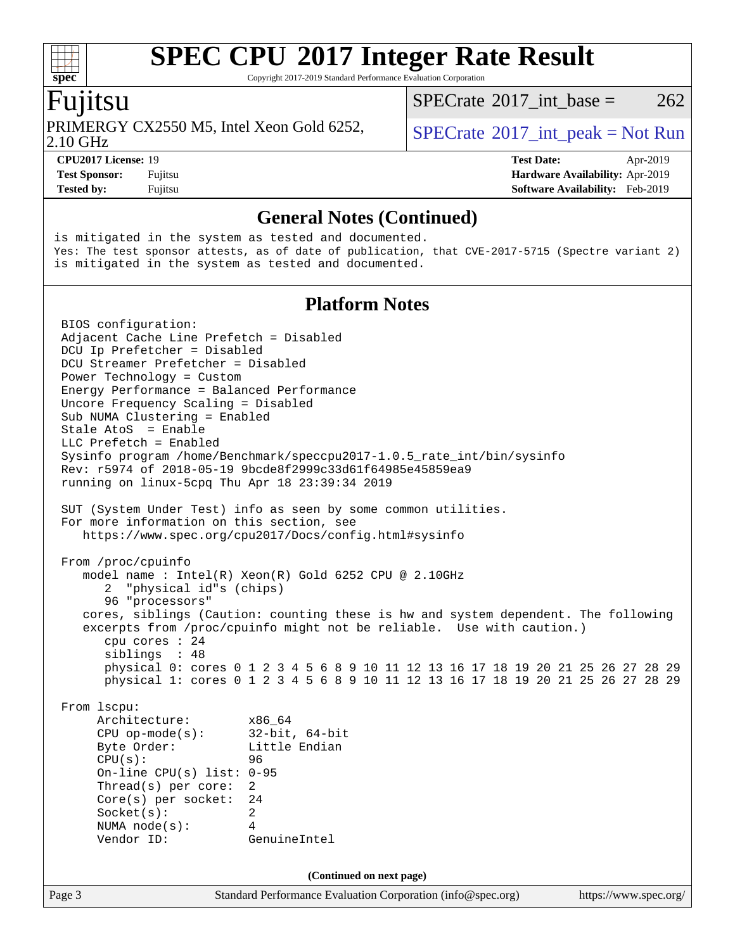Copyright 2017-2019 Standard Performance Evaluation Corporation

### Fujitsu

PRIMERGY CX2550 M5, Intel Xeon Gold 6252,  $\vert$  [SPECrate](http://www.spec.org/auto/cpu2017/Docs/result-fields.html#SPECrate2017intpeak)®[2017\\_int\\_peak = N](http://www.spec.org/auto/cpu2017/Docs/result-fields.html#SPECrate2017intpeak)ot Run

[SPECrate](http://www.spec.org/auto/cpu2017/Docs/result-fields.html#SPECrate2017intbase)<sup>®</sup>2017 int base =  $262$ 

2.10 GHz

**[CPU2017 License:](http://www.spec.org/auto/cpu2017/Docs/result-fields.html#CPU2017License)** 19 **[Test Date:](http://www.spec.org/auto/cpu2017/Docs/result-fields.html#TestDate)** Apr-2019 **[Test Sponsor:](http://www.spec.org/auto/cpu2017/Docs/result-fields.html#TestSponsor)** Fujitsu **[Hardware Availability:](http://www.spec.org/auto/cpu2017/Docs/result-fields.html#HardwareAvailability)** Apr-2019 **[Tested by:](http://www.spec.org/auto/cpu2017/Docs/result-fields.html#Testedby)** Fujitsu **Fugital Example 2019 [Software Availability:](http://www.spec.org/auto/cpu2017/Docs/result-fields.html#SoftwareAvailability)** Feb-2019

#### **[General Notes \(Continued\)](http://www.spec.org/auto/cpu2017/Docs/result-fields.html#GeneralNotes)**

is mitigated in the system as tested and documented. Yes: The test sponsor attests, as of date of publication, that CVE-2017-5715 (Spectre variant 2) is mitigated in the system as tested and documented.

#### **[Platform Notes](http://www.spec.org/auto/cpu2017/Docs/result-fields.html#PlatformNotes)**

Page 3 Standard Performance Evaluation Corporation [\(info@spec.org\)](mailto:info@spec.org) <https://www.spec.org/> BIOS configuration: Adjacent Cache Line Prefetch = Disabled DCU Ip Prefetcher = Disabled DCU Streamer Prefetcher = Disabled Power Technology = Custom Energy Performance = Balanced Performance Uncore Frequency Scaling = Disabled Sub NUMA Clustering = Enabled Stale AtoS = Enable LLC Prefetch = Enabled Sysinfo program /home/Benchmark/speccpu2017-1.0.5\_rate\_int/bin/sysinfo Rev: r5974 of 2018-05-19 9bcde8f2999c33d61f64985e45859ea9 running on linux-5cpq Thu Apr 18 23:39:34 2019 SUT (System Under Test) info as seen by some common utilities. For more information on this section, see <https://www.spec.org/cpu2017/Docs/config.html#sysinfo> From /proc/cpuinfo model name : Intel(R) Xeon(R) Gold 6252 CPU @ 2.10GHz 2 "physical id"s (chips) 96 "processors" cores, siblings (Caution: counting these is hw and system dependent. The following excerpts from /proc/cpuinfo might not be reliable. Use with caution.) cpu cores : 24 siblings : 48 physical 0: cores 0 1 2 3 4 5 6 8 9 10 11 12 13 16 17 18 19 20 21 25 26 27 28 29 physical 1: cores 0 1 2 3 4 5 6 8 9 10 11 12 13 16 17 18 19 20 21 25 26 27 28 29 From lscpu: Architecture: x86\_64 CPU op-mode(s): 32-bit, 64-bit Byte Order: Little Endian CPU(s): 96 On-line CPU(s) list: 0-95 Thread(s) per core: 2 Core(s) per socket: 24 Socket(s): 2 NUMA node(s): 4 Vendor ID: GenuineIntel **(Continued on next page)**

**[spec](http://www.spec.org/)**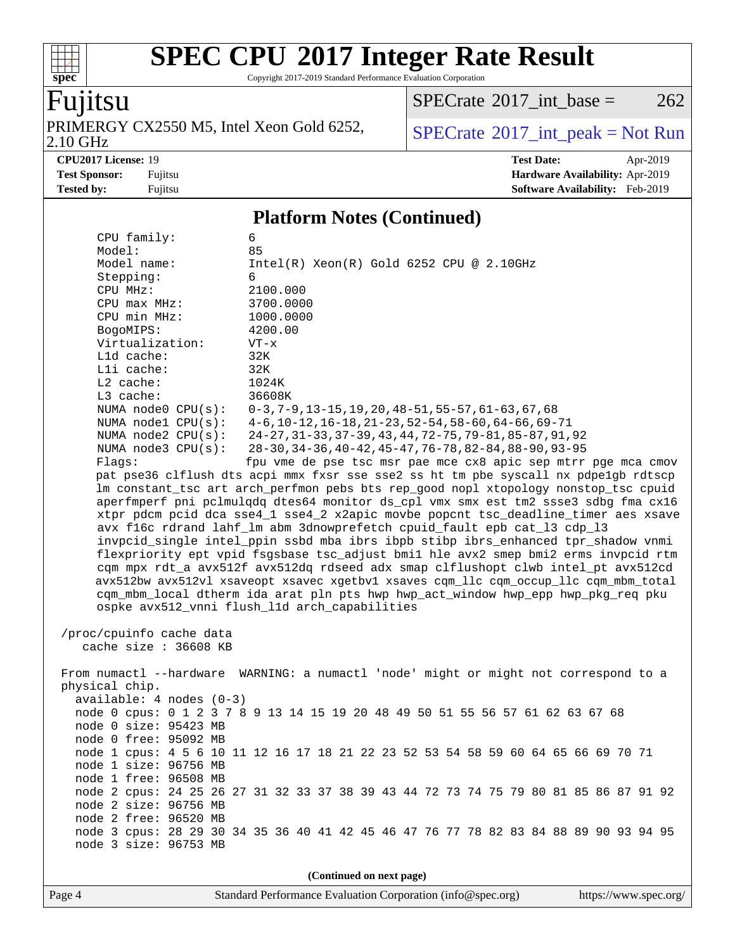Copyright 2017-2019 Standard Performance Evaluation Corporation

## Fujitsu

**[spec](http://www.spec.org/)**

 $+\ +$ 

PRIMERGY CX2550 M5, Intel Xeon Gold 6252,<br>2.10 GHz

 $SPECTate@2017_int\_base = 262$ 

 $SPECTate<sup>®</sup>2017_int_p [peak = Not Run]$ 

**[CPU2017 License:](http://www.spec.org/auto/cpu2017/Docs/result-fields.html#CPU2017License)** 19 **[Test Date:](http://www.spec.org/auto/cpu2017/Docs/result-fields.html#TestDate)** Apr-2019 **[Test Sponsor:](http://www.spec.org/auto/cpu2017/Docs/result-fields.html#TestSponsor)** Fujitsu **[Hardware Availability:](http://www.spec.org/auto/cpu2017/Docs/result-fields.html#HardwareAvailability)** Apr-2019 **[Tested by:](http://www.spec.org/auto/cpu2017/Docs/result-fields.html#Testedby)** Fujitsu **Fugital Example 2019 [Software Availability:](http://www.spec.org/auto/cpu2017/Docs/result-fields.html#SoftwareAvailability)** Feb-2019

#### **[Platform Notes \(Continued\)](http://www.spec.org/auto/cpu2017/Docs/result-fields.html#PlatformNotes)**

| CPU family:                                                                          | 6                                                                                    |  |  |  |  |  |  |  |
|--------------------------------------------------------------------------------------|--------------------------------------------------------------------------------------|--|--|--|--|--|--|--|
| Model:                                                                               | 85                                                                                   |  |  |  |  |  |  |  |
| Model name:                                                                          | $Intel(R) Xeon(R) Gold 6252 CPU @ 2.10GHz$                                           |  |  |  |  |  |  |  |
| Stepping:                                                                            | 6                                                                                    |  |  |  |  |  |  |  |
| CPU MHz:                                                                             | 2100.000                                                                             |  |  |  |  |  |  |  |
| CPU max MHz:                                                                         | 3700.0000                                                                            |  |  |  |  |  |  |  |
| CPU min MHz:                                                                         | 1000.0000                                                                            |  |  |  |  |  |  |  |
| BogoMIPS:                                                                            | 4200.00                                                                              |  |  |  |  |  |  |  |
| Virtualization:                                                                      | $VT - x$                                                                             |  |  |  |  |  |  |  |
| Lld cache:                                                                           | 32K                                                                                  |  |  |  |  |  |  |  |
| Lli cache:                                                                           | 32K                                                                                  |  |  |  |  |  |  |  |
| L2 cache:                                                                            | 1024K                                                                                |  |  |  |  |  |  |  |
| L3 cache:                                                                            | 36608K                                                                               |  |  |  |  |  |  |  |
| NUMA $node0$ $CPU(s)$ :                                                              | $0-3, 7-9, 13-15, 19, 20, 48-51, 55-57, 61-63, 67, 68$                               |  |  |  |  |  |  |  |
| NUMA $node1$ $CPU(s):$                                                               | $4-6$ , 10-12, 16-18, 21-23, 52-54, 58-60, 64-66, 69-71                              |  |  |  |  |  |  |  |
| NUMA $node2$ $CPU(s)$ :                                                              | 24-27, 31-33, 37-39, 43, 44, 72-75, 79-81, 85-87, 91, 92                             |  |  |  |  |  |  |  |
| NUMA $node3$ CPU $(s)$ :                                                             | 28-30, 34-36, 40-42, 45-47, 76-78, 82-84, 88-90, 93-95                               |  |  |  |  |  |  |  |
| Flags:                                                                               | fpu vme de pse tsc msr pae mce cx8 apic sep mtrr pge mca cmov                        |  |  |  |  |  |  |  |
|                                                                                      | pat pse36 clflush dts acpi mmx fxsr sse sse2 ss ht tm pbe syscall nx pdpe1gb rdtscp  |  |  |  |  |  |  |  |
|                                                                                      | lm constant_tsc art arch_perfmon pebs bts rep_good nopl xtopology nonstop_tsc cpuid  |  |  |  |  |  |  |  |
|                                                                                      | aperfmperf pni pclmulqdq dtes64 monitor ds_cpl vmx smx est tm2 ssse3 sdbg fma cx16   |  |  |  |  |  |  |  |
|                                                                                      | xtpr pdcm pcid dca sse4_1 sse4_2 x2apic movbe popcnt tsc_deadline_timer aes xsave    |  |  |  |  |  |  |  |
|                                                                                      | avx f16c rdrand lahf_lm abm 3dnowprefetch cpuid_fault epb cat_13 cdp_13              |  |  |  |  |  |  |  |
|                                                                                      | invpcid_single intel_ppin ssbd mba ibrs ibpb stibp ibrs_enhanced tpr_shadow vnmi     |  |  |  |  |  |  |  |
|                                                                                      | flexpriority ept vpid fsgsbase tsc_adjust bmil hle avx2 smep bmi2 erms invpcid rtm   |  |  |  |  |  |  |  |
| cqm mpx rdt_a avx512f avx512dq rdseed adx smap clflushopt clwb intel_pt avx512cd     |                                                                                      |  |  |  |  |  |  |  |
| avx512bw avx512vl xsaveopt xsavec xgetbvl xsaves cqm_llc cqm_occup_llc cqm_mbm_total |                                                                                      |  |  |  |  |  |  |  |
| cqm_mbm_local dtherm ida arat pln pts hwp hwp_act_window hwp_epp hwp_pkg_req pku     |                                                                                      |  |  |  |  |  |  |  |
|                                                                                      |                                                                                      |  |  |  |  |  |  |  |
| ospke avx512_vnni flush_11d arch_capabilities                                        |                                                                                      |  |  |  |  |  |  |  |
| /proc/cpuinfo cache data                                                             |                                                                                      |  |  |  |  |  |  |  |
| cache size : 36608 KB                                                                |                                                                                      |  |  |  |  |  |  |  |
|                                                                                      |                                                                                      |  |  |  |  |  |  |  |
|                                                                                      | From numactl --hardware WARNING: a numactl 'node' might or might not correspond to a |  |  |  |  |  |  |  |
|                                                                                      |                                                                                      |  |  |  |  |  |  |  |
| physical chip.                                                                       |                                                                                      |  |  |  |  |  |  |  |
| $available: 4 nodes (0-3)$                                                           |                                                                                      |  |  |  |  |  |  |  |
|                                                                                      | node 0 cpus: 0 1 2 3 7 8 9 13 14 15 19 20 48 49 50 51 55 56 57 61 62 63 67 68        |  |  |  |  |  |  |  |
| node 0 size: 95423 MB                                                                |                                                                                      |  |  |  |  |  |  |  |
| node 0 free: 95092 MB                                                                |                                                                                      |  |  |  |  |  |  |  |
|                                                                                      | node 1 cpus: 4 5 6 10 11 12 16 17 18 21 22 23 52 53 54 58 59 60 64 65 66 69 70 71    |  |  |  |  |  |  |  |
| node 1 size: 96756 MB                                                                |                                                                                      |  |  |  |  |  |  |  |
| node 1 free: 96508 MB                                                                |                                                                                      |  |  |  |  |  |  |  |
|                                                                                      | node 2 cpus: 24 25 26 27 31 32 33 37 38 39 43 44 72 73 74 75 79 80 81 85 86 87 91 92 |  |  |  |  |  |  |  |
| node 2 size: 96756 MB                                                                |                                                                                      |  |  |  |  |  |  |  |
| node 2 free: 96520 MB                                                                |                                                                                      |  |  |  |  |  |  |  |
|                                                                                      | node 3 cpus: 28 29 30 34 35 36 40 41 42 45 46 47 76 77 78 82 83 84 88 89 90 93 94 95 |  |  |  |  |  |  |  |
| node 3 size: 96753 MB                                                                |                                                                                      |  |  |  |  |  |  |  |
|                                                                                      |                                                                                      |  |  |  |  |  |  |  |
| (Continued on next page)                                                             |                                                                                      |  |  |  |  |  |  |  |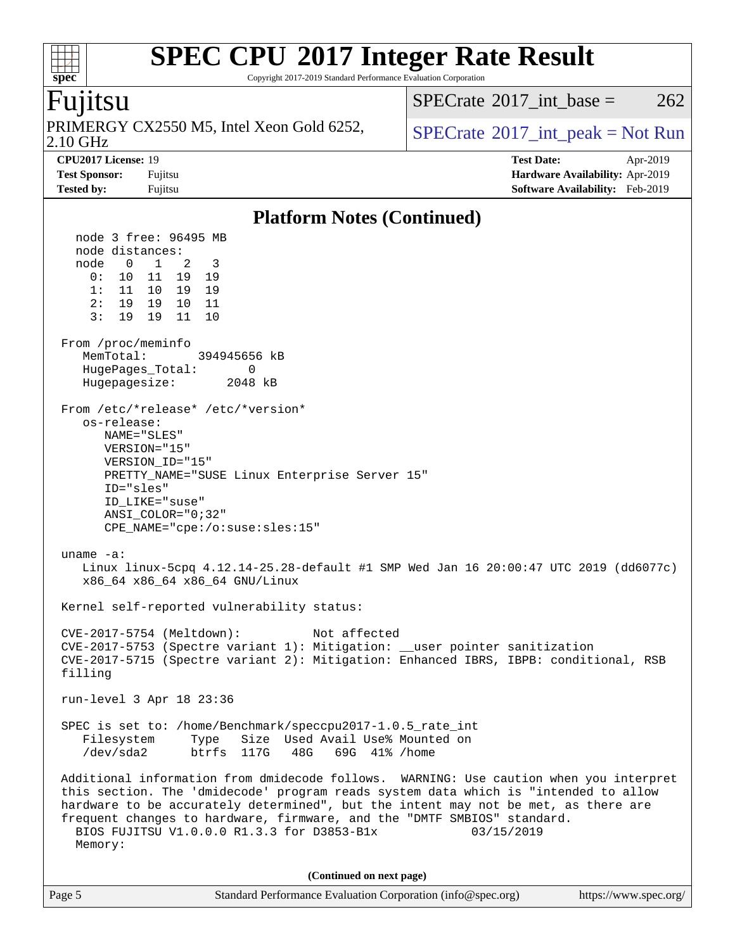Copyright 2017-2019 Standard Performance Evaluation Corporation

### `untsu

**[spec](http://www.spec.org/)**

2.10 GHz PRIMERGY CX2550 M5, Intel Xeon Gold 6252,  $\vert$  [SPECrate](http://www.spec.org/auto/cpu2017/Docs/result-fields.html#SPECrate2017intpeak)®[2017\\_int\\_peak = N](http://www.spec.org/auto/cpu2017/Docs/result-fields.html#SPECrate2017intpeak)ot Run

[SPECrate](http://www.spec.org/auto/cpu2017/Docs/result-fields.html#SPECrate2017intbase)<sup>®</sup>2017 int base =  $262$ 

**[CPU2017 License:](http://www.spec.org/auto/cpu2017/Docs/result-fields.html#CPU2017License)** 19 **[Test Date:](http://www.spec.org/auto/cpu2017/Docs/result-fields.html#TestDate)** Apr-2019 **[Test Sponsor:](http://www.spec.org/auto/cpu2017/Docs/result-fields.html#TestSponsor)** Fujitsu **[Hardware Availability:](http://www.spec.org/auto/cpu2017/Docs/result-fields.html#HardwareAvailability)** Apr-2019 **[Tested by:](http://www.spec.org/auto/cpu2017/Docs/result-fields.html#Testedby)** Fujitsu **[Software Availability:](http://www.spec.org/auto/cpu2017/Docs/result-fields.html#SoftwareAvailability)** Feb-2019

#### **[Platform Notes \(Continued\)](http://www.spec.org/auto/cpu2017/Docs/result-fields.html#PlatformNotes)** node 3 free: 96495 MB node distances: node 0 1 2 3 0: 10 11 19 19 1: 11 10 19 19 2: 19 19 10 11 3: 19 19 11 10 From /proc/meminfo MemTotal: 394945656 kB HugePages\_Total: 0 Hugepagesize: 2048 kB From /etc/\*release\* /etc/\*version\* os-release: NAME="SLES" VERSION="15" VERSION\_ID="15" PRETTY\_NAME="SUSE Linux Enterprise Server 15" ID="sles" ID\_LIKE="suse" ANSI\_COLOR="0;32" CPE\_NAME="cpe:/o:suse:sles:15" uname -a: Linux linux-5cpq 4.12.14-25.28-default #1 SMP Wed Jan 16 20:00:47 UTC 2019 (dd6077c) x86\_64 x86\_64 x86\_64 GNU/Linux Kernel self-reported vulnerability status: CVE-2017-5754 (Meltdown): Not affected CVE-2017-5753 (Spectre variant 1): Mitigation: \_\_user pointer sanitization CVE-2017-5715 (Spectre variant 2): Mitigation: Enhanced IBRS, IBPB: conditional, RSB filling run-level 3 Apr 18 23:36 SPEC is set to: /home/Benchmark/speccpu2017-1.0.5\_rate\_int Filesystem Type Size Used Avail Use% Mounted on<br>
/dev/sda2 btrfs 117G 48G 69G 41% /home /dev/sda2 btrfs 117G 48G 69G 41% /home Additional information from dmidecode follows. WARNING: Use caution when you interpret this section. The 'dmidecode' program reads system data which is "intended to allow hardware to be accurately determined", but the intent may not be met, as there are frequent changes to hardware, firmware, and the "DMTF SMBIOS" standard. BIOS FUJITSU V1.0.0.0 R1.3.3 for D3853-B1x 03/15/2019 Memory:

**(Continued on next page)**

| Page 5<br>Standard Performance Evaluation Corporation (info@spec.org)<br>https://www.spec.org/ |
|------------------------------------------------------------------------------------------------|
|------------------------------------------------------------------------------------------------|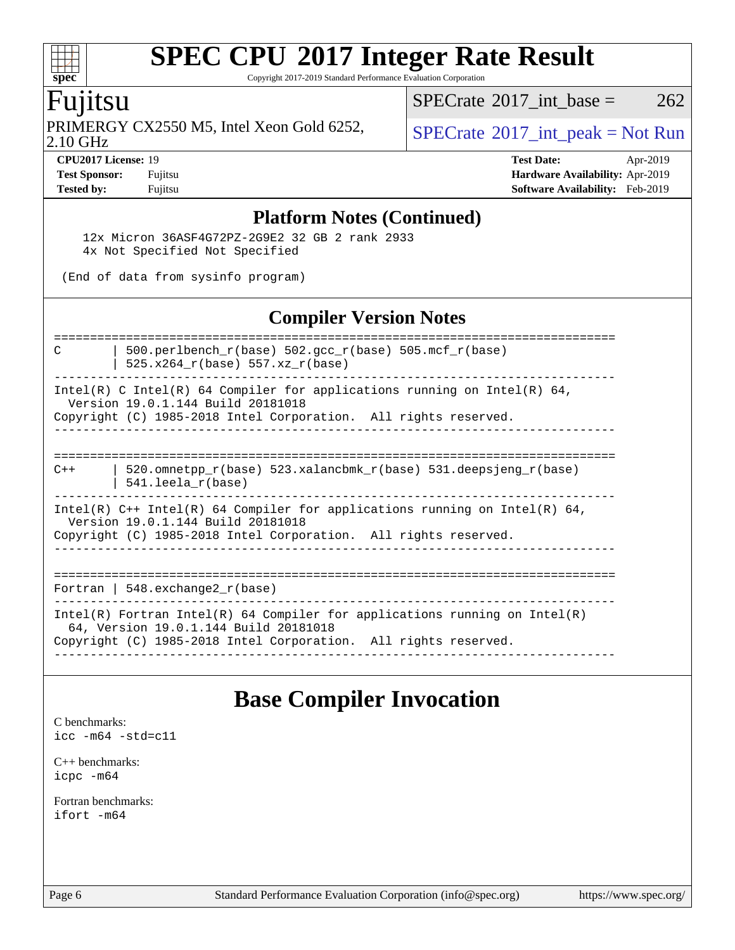Copyright 2017-2019 Standard Performance Evaluation Corporation

### Fujitsu

**[spec](http://www.spec.org/)**

PRIMERGY CX2550 M5, Intel Xeon Gold 6252,  $\vert$  [SPECrate](http://www.spec.org/auto/cpu2017/Docs/result-fields.html#SPECrate2017intpeak) <sup>® 2017</sup>\_int\_peak = Not Run

[SPECrate](http://www.spec.org/auto/cpu2017/Docs/result-fields.html#SPECrate2017intbase)<sup>®</sup>2017 int base =  $262$ 

2.10 GHz

**[CPU2017 License:](http://www.spec.org/auto/cpu2017/Docs/result-fields.html#CPU2017License)** 19 **[Test Date:](http://www.spec.org/auto/cpu2017/Docs/result-fields.html#TestDate)** Apr-2019 **[Test Sponsor:](http://www.spec.org/auto/cpu2017/Docs/result-fields.html#TestSponsor)** Fujitsu **[Hardware Availability:](http://www.spec.org/auto/cpu2017/Docs/result-fields.html#HardwareAvailability)** Apr-2019 **[Tested by:](http://www.spec.org/auto/cpu2017/Docs/result-fields.html#Testedby)** Fujitsu **[Software Availability:](http://www.spec.org/auto/cpu2017/Docs/result-fields.html#SoftwareAvailability)** Feb-2019

#### **[Platform Notes \(Continued\)](http://www.spec.org/auto/cpu2017/Docs/result-fields.html#PlatformNotes)**

 12x Micron 36ASF4G72PZ-2G9E2 32 GB 2 rank 2933 4x Not Specified Not Specified

(End of data from sysinfo program)

#### **[Compiler Version Notes](http://www.spec.org/auto/cpu2017/Docs/result-fields.html#CompilerVersionNotes)**

============================================================================== C  $\vert$  500.perlbench\_r(base) 502.gcc\_r(base) 505.mcf\_r(base) | 525.x264  $r(base)$  557.xz  $r(base)$ ------------------------------------------------------------------------------ Intel(R) C Intel(R) 64 Compiler for applications running on Intel(R) 64, Version 19.0.1.144 Build 20181018 Copyright (C) 1985-2018 Intel Corporation. All rights reserved. ------------------------------------------------------------------------------ ============================================================================== C++ | 520.omnetpp\_r(base) 523.xalancbmk\_r(base) 531.deepsjeng\_r(base) | 541.leela\_r(base) ------------------------------------------------------------------------------ Intel(R) C++ Intel(R) 64 Compiler for applications running on Intel(R) 64, Version 19.0.1.144 Build 20181018 Copyright (C) 1985-2018 Intel Corporation. All rights reserved. ------------------------------------------------------------------------------ ============================================================================== Fortran | 548.exchange2\_r(base) ------------------------------------------------------------------------------ Intel(R) Fortran Intel(R) 64 Compiler for applications running on Intel(R) 64, Version 19.0.1.144 Build 20181018 Copyright (C) 1985-2018 Intel Corporation. All rights reserved. ------------------------------------------------------------------------------

## **[Base Compiler Invocation](http://www.spec.org/auto/cpu2017/Docs/result-fields.html#BaseCompilerInvocation)**

[C benchmarks](http://www.spec.org/auto/cpu2017/Docs/result-fields.html#Cbenchmarks): [icc -m64 -std=c11](http://www.spec.org/cpu2017/results/res2019q4/cpu2017-20191111-19623.flags.html#user_CCbase_intel_icc_64bit_c11_33ee0cdaae7deeeab2a9725423ba97205ce30f63b9926c2519791662299b76a0318f32ddfffdc46587804de3178b4f9328c46fa7c2b0cd779d7a61945c91cd35)

[C++ benchmarks:](http://www.spec.org/auto/cpu2017/Docs/result-fields.html#CXXbenchmarks) [icpc -m64](http://www.spec.org/cpu2017/results/res2019q4/cpu2017-20191111-19623.flags.html#user_CXXbase_intel_icpc_64bit_4ecb2543ae3f1412ef961e0650ca070fec7b7afdcd6ed48761b84423119d1bf6bdf5cad15b44d48e7256388bc77273b966e5eb805aefd121eb22e9299b2ec9d9)

[Fortran benchmarks](http://www.spec.org/auto/cpu2017/Docs/result-fields.html#Fortranbenchmarks): [ifort -m64](http://www.spec.org/cpu2017/results/res2019q4/cpu2017-20191111-19623.flags.html#user_FCbase_intel_ifort_64bit_24f2bb282fbaeffd6157abe4f878425411749daecae9a33200eee2bee2fe76f3b89351d69a8130dd5949958ce389cf37ff59a95e7a40d588e8d3a57e0c3fd751)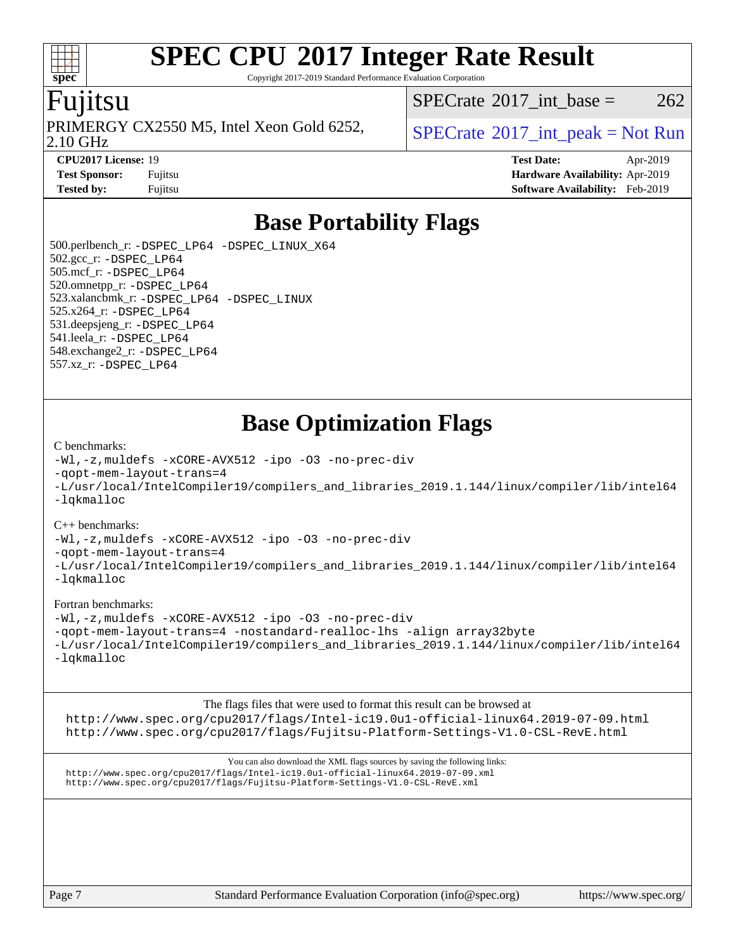Copyright 2017-2019 Standard Performance Evaluation Corporation

### Fujitsu

**[spec](http://www.spec.org/)**

2.10 GHz PRIMERGY CX2550 M5, Intel Xeon Gold 6252,  $\vert$  [SPECrate](http://www.spec.org/auto/cpu2017/Docs/result-fields.html#SPECrate2017intpeak)®[2017\\_int\\_peak = N](http://www.spec.org/auto/cpu2017/Docs/result-fields.html#SPECrate2017intpeak)ot Run

[SPECrate](http://www.spec.org/auto/cpu2017/Docs/result-fields.html#SPECrate2017intbase)<sup>®</sup>2017 int base =  $262$ 

**[CPU2017 License:](http://www.spec.org/auto/cpu2017/Docs/result-fields.html#CPU2017License)** 19 **[Test Date:](http://www.spec.org/auto/cpu2017/Docs/result-fields.html#TestDate)** Apr-2019 **[Test Sponsor:](http://www.spec.org/auto/cpu2017/Docs/result-fields.html#TestSponsor)** Fujitsu **[Hardware Availability:](http://www.spec.org/auto/cpu2017/Docs/result-fields.html#HardwareAvailability)** Apr-2019 **[Tested by:](http://www.spec.org/auto/cpu2017/Docs/result-fields.html#Testedby)** Fujitsu **[Software Availability:](http://www.spec.org/auto/cpu2017/Docs/result-fields.html#SoftwareAvailability)** Feb-2019

## **[Base Portability Flags](http://www.spec.org/auto/cpu2017/Docs/result-fields.html#BasePortabilityFlags)**

 500.perlbench\_r: [-DSPEC\\_LP64](http://www.spec.org/cpu2017/results/res2019q4/cpu2017-20191111-19623.flags.html#b500.perlbench_r_basePORTABILITY_DSPEC_LP64) [-DSPEC\\_LINUX\\_X64](http://www.spec.org/cpu2017/results/res2019q4/cpu2017-20191111-19623.flags.html#b500.perlbench_r_baseCPORTABILITY_DSPEC_LINUX_X64) 502.gcc\_r: [-DSPEC\\_LP64](http://www.spec.org/cpu2017/results/res2019q4/cpu2017-20191111-19623.flags.html#suite_basePORTABILITY502_gcc_r_DSPEC_LP64) 505.mcf\_r: [-DSPEC\\_LP64](http://www.spec.org/cpu2017/results/res2019q4/cpu2017-20191111-19623.flags.html#suite_basePORTABILITY505_mcf_r_DSPEC_LP64) 520.omnetpp\_r: [-DSPEC\\_LP64](http://www.spec.org/cpu2017/results/res2019q4/cpu2017-20191111-19623.flags.html#suite_basePORTABILITY520_omnetpp_r_DSPEC_LP64) 523.xalancbmk\_r: [-DSPEC\\_LP64](http://www.spec.org/cpu2017/results/res2019q4/cpu2017-20191111-19623.flags.html#suite_basePORTABILITY523_xalancbmk_r_DSPEC_LP64) [-DSPEC\\_LINUX](http://www.spec.org/cpu2017/results/res2019q4/cpu2017-20191111-19623.flags.html#b523.xalancbmk_r_baseCXXPORTABILITY_DSPEC_LINUX) 525.x264\_r: [-DSPEC\\_LP64](http://www.spec.org/cpu2017/results/res2019q4/cpu2017-20191111-19623.flags.html#suite_basePORTABILITY525_x264_r_DSPEC_LP64) 531.deepsjeng\_r: [-DSPEC\\_LP64](http://www.spec.org/cpu2017/results/res2019q4/cpu2017-20191111-19623.flags.html#suite_basePORTABILITY531_deepsjeng_r_DSPEC_LP64) 541.leela\_r: [-DSPEC\\_LP64](http://www.spec.org/cpu2017/results/res2019q4/cpu2017-20191111-19623.flags.html#suite_basePORTABILITY541_leela_r_DSPEC_LP64) 548.exchange2\_r: [-DSPEC\\_LP64](http://www.spec.org/cpu2017/results/res2019q4/cpu2017-20191111-19623.flags.html#suite_basePORTABILITY548_exchange2_r_DSPEC_LP64) 557.xz\_r: [-DSPEC\\_LP64](http://www.spec.org/cpu2017/results/res2019q4/cpu2017-20191111-19623.flags.html#suite_basePORTABILITY557_xz_r_DSPEC_LP64)

## **[Base Optimization Flags](http://www.spec.org/auto/cpu2017/Docs/result-fields.html#BaseOptimizationFlags)**

#### [C benchmarks](http://www.spec.org/auto/cpu2017/Docs/result-fields.html#Cbenchmarks):

[-Wl,-z,muldefs](http://www.spec.org/cpu2017/results/res2019q4/cpu2017-20191111-19623.flags.html#user_CCbase_link_force_multiple1_b4cbdb97b34bdee9ceefcfe54f4c8ea74255f0b02a4b23e853cdb0e18eb4525ac79b5a88067c842dd0ee6996c24547a27a4b99331201badda8798ef8a743f577) [-xCORE-AVX512](http://www.spec.org/cpu2017/results/res2019q4/cpu2017-20191111-19623.flags.html#user_CCbase_f-xCORE-AVX512) [-ipo](http://www.spec.org/cpu2017/results/res2019q4/cpu2017-20191111-19623.flags.html#user_CCbase_f-ipo) [-O3](http://www.spec.org/cpu2017/results/res2019q4/cpu2017-20191111-19623.flags.html#user_CCbase_f-O3) [-no-prec-div](http://www.spec.org/cpu2017/results/res2019q4/cpu2017-20191111-19623.flags.html#user_CCbase_f-no-prec-div) [-qopt-mem-layout-trans=4](http://www.spec.org/cpu2017/results/res2019q4/cpu2017-20191111-19623.flags.html#user_CCbase_f-qopt-mem-layout-trans_fa39e755916c150a61361b7846f310bcdf6f04e385ef281cadf3647acec3f0ae266d1a1d22d972a7087a248fd4e6ca390a3634700869573d231a252c784941a8) [-L/usr/local/IntelCompiler19/compilers\\_and\\_libraries\\_2019.1.144/linux/compiler/lib/intel64](http://www.spec.org/cpu2017/results/res2019q4/cpu2017-20191111-19623.flags.html#user_CCbase_qkmalloc_link_f25da0aa8cf9bced0533715046f0c2fbfb1a7191e3e496916672e09b4c388a884c4c7e4862cb529343da2264b43416df65c99fd1ddbf5dd13ae6d3130cf47881) [-lqkmalloc](http://www.spec.org/cpu2017/results/res2019q4/cpu2017-20191111-19623.flags.html#user_CCbase_qkmalloc_link_lib_79a818439969f771c6bc311cfd333c00fc099dad35c030f5aab9dda831713d2015205805422f83de8875488a2991c0a156aaa600e1f9138f8fc37004abc96dc5)

#### [C++ benchmarks](http://www.spec.org/auto/cpu2017/Docs/result-fields.html#CXXbenchmarks):

[-Wl,-z,muldefs](http://www.spec.org/cpu2017/results/res2019q4/cpu2017-20191111-19623.flags.html#user_CXXbase_link_force_multiple1_b4cbdb97b34bdee9ceefcfe54f4c8ea74255f0b02a4b23e853cdb0e18eb4525ac79b5a88067c842dd0ee6996c24547a27a4b99331201badda8798ef8a743f577) [-xCORE-AVX512](http://www.spec.org/cpu2017/results/res2019q4/cpu2017-20191111-19623.flags.html#user_CXXbase_f-xCORE-AVX512) [-ipo](http://www.spec.org/cpu2017/results/res2019q4/cpu2017-20191111-19623.flags.html#user_CXXbase_f-ipo) [-O3](http://www.spec.org/cpu2017/results/res2019q4/cpu2017-20191111-19623.flags.html#user_CXXbase_f-O3) [-no-prec-div](http://www.spec.org/cpu2017/results/res2019q4/cpu2017-20191111-19623.flags.html#user_CXXbase_f-no-prec-div)

[-qopt-mem-layout-trans=4](http://www.spec.org/cpu2017/results/res2019q4/cpu2017-20191111-19623.flags.html#user_CXXbase_f-qopt-mem-layout-trans_fa39e755916c150a61361b7846f310bcdf6f04e385ef281cadf3647acec3f0ae266d1a1d22d972a7087a248fd4e6ca390a3634700869573d231a252c784941a8)

[-L/usr/local/IntelCompiler19/compilers\\_and\\_libraries\\_2019.1.144/linux/compiler/lib/intel64](http://www.spec.org/cpu2017/results/res2019q4/cpu2017-20191111-19623.flags.html#user_CXXbase_qkmalloc_link_f25da0aa8cf9bced0533715046f0c2fbfb1a7191e3e496916672e09b4c388a884c4c7e4862cb529343da2264b43416df65c99fd1ddbf5dd13ae6d3130cf47881) [-lqkmalloc](http://www.spec.org/cpu2017/results/res2019q4/cpu2017-20191111-19623.flags.html#user_CXXbase_qkmalloc_link_lib_79a818439969f771c6bc311cfd333c00fc099dad35c030f5aab9dda831713d2015205805422f83de8875488a2991c0a156aaa600e1f9138f8fc37004abc96dc5)

#### [Fortran benchmarks](http://www.spec.org/auto/cpu2017/Docs/result-fields.html#Fortranbenchmarks):

[-Wl,-z,muldefs](http://www.spec.org/cpu2017/results/res2019q4/cpu2017-20191111-19623.flags.html#user_FCbase_link_force_multiple1_b4cbdb97b34bdee9ceefcfe54f4c8ea74255f0b02a4b23e853cdb0e18eb4525ac79b5a88067c842dd0ee6996c24547a27a4b99331201badda8798ef8a743f577) [-xCORE-AVX512](http://www.spec.org/cpu2017/results/res2019q4/cpu2017-20191111-19623.flags.html#user_FCbase_f-xCORE-AVX512) [-ipo](http://www.spec.org/cpu2017/results/res2019q4/cpu2017-20191111-19623.flags.html#user_FCbase_f-ipo) [-O3](http://www.spec.org/cpu2017/results/res2019q4/cpu2017-20191111-19623.flags.html#user_FCbase_f-O3) [-no-prec-div](http://www.spec.org/cpu2017/results/res2019q4/cpu2017-20191111-19623.flags.html#user_FCbase_f-no-prec-div) [-qopt-mem-layout-trans=4](http://www.spec.org/cpu2017/results/res2019q4/cpu2017-20191111-19623.flags.html#user_FCbase_f-qopt-mem-layout-trans_fa39e755916c150a61361b7846f310bcdf6f04e385ef281cadf3647acec3f0ae266d1a1d22d972a7087a248fd4e6ca390a3634700869573d231a252c784941a8) [-nostandard-realloc-lhs](http://www.spec.org/cpu2017/results/res2019q4/cpu2017-20191111-19623.flags.html#user_FCbase_f_2003_std_realloc_82b4557e90729c0f113870c07e44d33d6f5a304b4f63d4c15d2d0f1fab99f5daaed73bdb9275d9ae411527f28b936061aa8b9c8f2d63842963b95c9dd6426b8a) [-align array32byte](http://www.spec.org/cpu2017/results/res2019q4/cpu2017-20191111-19623.flags.html#user_FCbase_align_array32byte_b982fe038af199962ba9a80c053b8342c548c85b40b8e86eb3cc33dee0d7986a4af373ac2d51c3f7cf710a18d62fdce2948f201cd044323541f22fc0fffc51b6) [-L/usr/local/IntelCompiler19/compilers\\_and\\_libraries\\_2019.1.144/linux/compiler/lib/intel64](http://www.spec.org/cpu2017/results/res2019q4/cpu2017-20191111-19623.flags.html#user_FCbase_qkmalloc_link_f25da0aa8cf9bced0533715046f0c2fbfb1a7191e3e496916672e09b4c388a884c4c7e4862cb529343da2264b43416df65c99fd1ddbf5dd13ae6d3130cf47881) [-lqkmalloc](http://www.spec.org/cpu2017/results/res2019q4/cpu2017-20191111-19623.flags.html#user_FCbase_qkmalloc_link_lib_79a818439969f771c6bc311cfd333c00fc099dad35c030f5aab9dda831713d2015205805422f83de8875488a2991c0a156aaa600e1f9138f8fc37004abc96dc5)

[The flags files that were used to format this result can be browsed at](tmsearch)

<http://www.spec.org/cpu2017/flags/Intel-ic19.0u1-official-linux64.2019-07-09.html> <http://www.spec.org/cpu2017/flags/Fujitsu-Platform-Settings-V1.0-CSL-RevE.html>

[You can also download the XML flags sources by saving the following links:](tmsearch) <http://www.spec.org/cpu2017/flags/Intel-ic19.0u1-official-linux64.2019-07-09.xml> <http://www.spec.org/cpu2017/flags/Fujitsu-Platform-Settings-V1.0-CSL-RevE.xml>